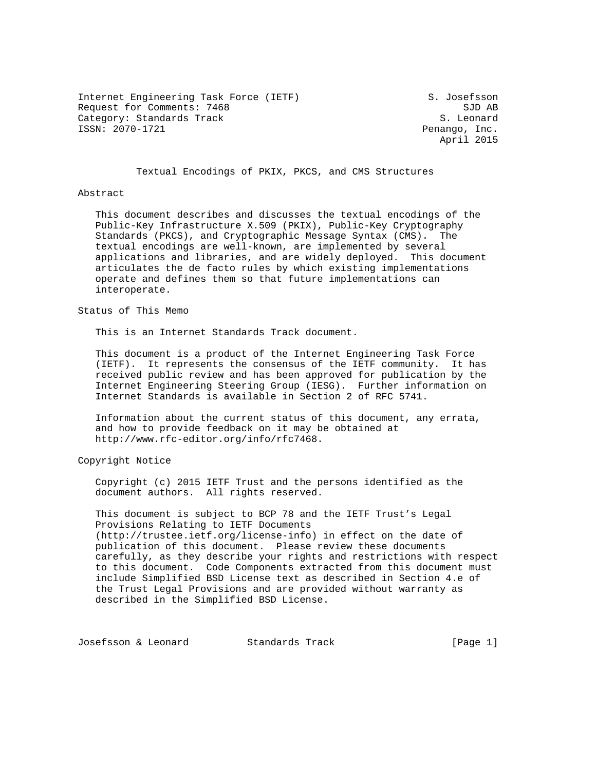Internet Engineering Task Force (IETF) S. Josefsson Request for Comments: 7468 SJD AB Category: Standards Track S. Leonard S. Leonard<br>
ISSN: 2070-1721 Category: Standards Track S. Leonard S. Leonard

Penango, Inc. April 2015

Textual Encodings of PKIX, PKCS, and CMS Structures

#### Abstract

 This document describes and discusses the textual encodings of the Public-Key Infrastructure X.509 (PKIX), Public-Key Cryptography Standards (PKCS), and Cryptographic Message Syntax (CMS). The textual encodings are well-known, are implemented by several applications and libraries, and are widely deployed. This document articulates the de facto rules by which existing implementations operate and defines them so that future implementations can interoperate.

Status of This Memo

This is an Internet Standards Track document.

 This document is a product of the Internet Engineering Task Force (IETF). It represents the consensus of the IETF community. It has received public review and has been approved for publication by the Internet Engineering Steering Group (IESG). Further information on Internet Standards is available in Section 2 of RFC 5741.

 Information about the current status of this document, any errata, and how to provide feedback on it may be obtained at http://www.rfc-editor.org/info/rfc7468.

Copyright Notice

 Copyright (c) 2015 IETF Trust and the persons identified as the document authors. All rights reserved.

 This document is subject to BCP 78 and the IETF Trust's Legal Provisions Relating to IETF Documents (http://trustee.ietf.org/license-info) in effect on the date of publication of this document. Please review these documents carefully, as they describe your rights and restrictions with respect to this document. Code Components extracted from this document must include Simplified BSD License text as described in Section 4.e of the Trust Legal Provisions and are provided without warranty as described in the Simplified BSD License.

Josefsson & Leonard Standards Track [Page 1]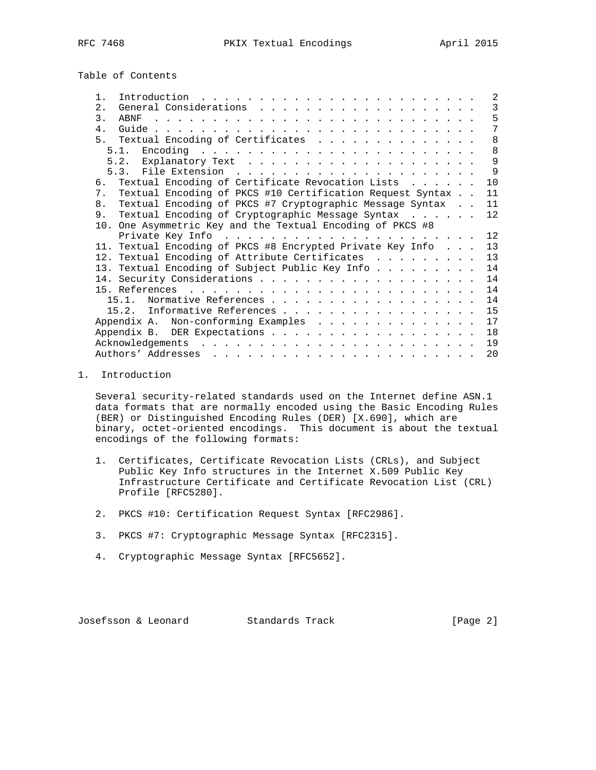Table of Contents

| Introduction.<br>$\mathbf{1}$<br>the contract of the contract of the contract of the contract of the contract of the contract of the contract of the contract of the contract of the contract of the contract of the contract of the contract of the contract o |  | 2               |
|-----------------------------------------------------------------------------------------------------------------------------------------------------------------------------------------------------------------------------------------------------------------|--|-----------------|
| 2.1                                                                                                                                                                                                                                                             |  | 3               |
| 3.<br>ABNF                                                                                                                                                                                                                                                      |  | 5               |
| $\overline{4}$                                                                                                                                                                                                                                                  |  | 7               |
| Textual Encoding of Certificates<br>5 <sub>1</sub>                                                                                                                                                                                                              |  | 8               |
| Encoding .<br>the contract of the contract of the contract of the contract of the contract of the contract of the contract of<br>5.1.                                                                                                                           |  | 8               |
|                                                                                                                                                                                                                                                                 |  | 9               |
|                                                                                                                                                                                                                                                                 |  | $\mathsf{Q}$    |
| 6. Textual Encoding of Certificate Revocation Lists                                                                                                                                                                                                             |  | 10              |
| Textual Encoding of PKCS #10 Certification Request Syntax<br>7 <sup>1</sup>                                                                                                                                                                                     |  | 11              |
| Textual Encoding of PKCS #7 Cryptographic Message Syntax<br>8 <sub>1</sub>                                                                                                                                                                                      |  | 11              |
| Textual Encoding of Cryptographic Message Syntax<br>9.                                                                                                                                                                                                          |  | 12              |
| 10. One Asymmetric Key and the Textual Encoding of PKCS #8                                                                                                                                                                                                      |  |                 |
|                                                                                                                                                                                                                                                                 |  | 12 <sup>°</sup> |
| 11. Textual Encoding of PKCS #8 Encrypted Private Key Info                                                                                                                                                                                                      |  | 13              |
| 12. Textual Encoding of Attribute Certificates                                                                                                                                                                                                                  |  | 13              |
| 13. Textual Encoding of Subject Public Key Info                                                                                                                                                                                                                 |  | 14              |
|                                                                                                                                                                                                                                                                 |  | 14              |
|                                                                                                                                                                                                                                                                 |  | 14              |
| Normative References<br>$15 \t1$                                                                                                                                                                                                                                |  | 14              |
| 15.2. Informative References                                                                                                                                                                                                                                    |  | 15              |
| Appendix A. Non-conforming Examples                                                                                                                                                                                                                             |  | 17              |
|                                                                                                                                                                                                                                                                 |  | 18              |
| Acknowledgements                                                                                                                                                                                                                                                |  | 19              |
| $\frac{1}{2}$ . The contract of the contract of the contract of the contract of the contract of the contract of the contract of the contract of the contract of the contract of the contract of the contract of the contract of t                               |  |                 |
| Authors' Addresses<br>والمناور والمناور والوالد المناور والمناور والمناور والمناور والمناور والمناور                                                                                                                                                            |  | 20              |

# 1. Introduction

 Several security-related standards used on the Internet define ASN.1 data formats that are normally encoded using the Basic Encoding Rules (BER) or Distinguished Encoding Rules (DER) [X.690], which are binary, octet-oriented encodings. This document is about the textual encodings of the following formats:

- 1. Certificates, Certificate Revocation Lists (CRLs), and Subject Public Key Info structures in the Internet X.509 Public Key Infrastructure Certificate and Certificate Revocation List (CRL) Profile [RFC5280].
- 2. PKCS #10: Certification Request Syntax [RFC2986].
- 3. PKCS #7: Cryptographic Message Syntax [RFC2315].
- 4. Cryptographic Message Syntax [RFC5652].

Josefsson & Leonard Standards Track [Page 2]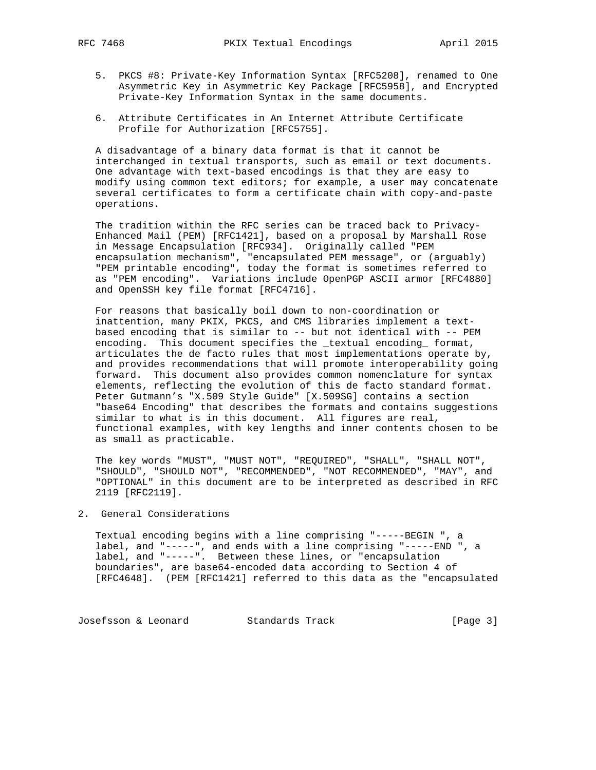- 5. PKCS #8: Private-Key Information Syntax [RFC5208], renamed to One Asymmetric Key in Asymmetric Key Package [RFC5958], and Encrypted Private-Key Information Syntax in the same documents.
- 6. Attribute Certificates in An Internet Attribute Certificate Profile for Authorization [RFC5755].

 A disadvantage of a binary data format is that it cannot be interchanged in textual transports, such as email or text documents. One advantage with text-based encodings is that they are easy to modify using common text editors; for example, a user may concatenate several certificates to form a certificate chain with copy-and-paste operations.

 The tradition within the RFC series can be traced back to Privacy- Enhanced Mail (PEM) [RFC1421], based on a proposal by Marshall Rose in Message Encapsulation [RFC934]. Originally called "PEM encapsulation mechanism", "encapsulated PEM message", or (arguably) "PEM printable encoding", today the format is sometimes referred to as "PEM encoding". Variations include OpenPGP ASCII armor [RFC4880] and OpenSSH key file format [RFC4716].

 For reasons that basically boil down to non-coordination or inattention, many PKIX, PKCS, and CMS libraries implement a text based encoding that is similar to -- but not identical with -- PEM encoding. This document specifies the \_textual encoding\_ format, articulates the de facto rules that most implementations operate by, and provides recommendations that will promote interoperability going forward. This document also provides common nomenclature for syntax elements, reflecting the evolution of this de facto standard format. Peter Gutmann's "X.509 Style Guide" [X.509SG] contains a section "base64 Encoding" that describes the formats and contains suggestions similar to what is in this document. All figures are real, functional examples, with key lengths and inner contents chosen to be as small as practicable.

 The key words "MUST", "MUST NOT", "REQUIRED", "SHALL", "SHALL NOT", "SHOULD", "SHOULD NOT", "RECOMMENDED", "NOT RECOMMENDED", "MAY", and "OPTIONAL" in this document are to be interpreted as described in RFC 2119 [RFC2119].

## 2. General Considerations

 Textual encoding begins with a line comprising "-----BEGIN ", a label, and "-----", and ends with a line comprising "-----END ", a label, and "-----". Between these lines, or "encapsulation boundaries", are base64-encoded data according to Section 4 of [RFC4648]. (PEM [RFC1421] referred to this data as the "encapsulated

Josefsson & Leonard Standards Track [Page 3]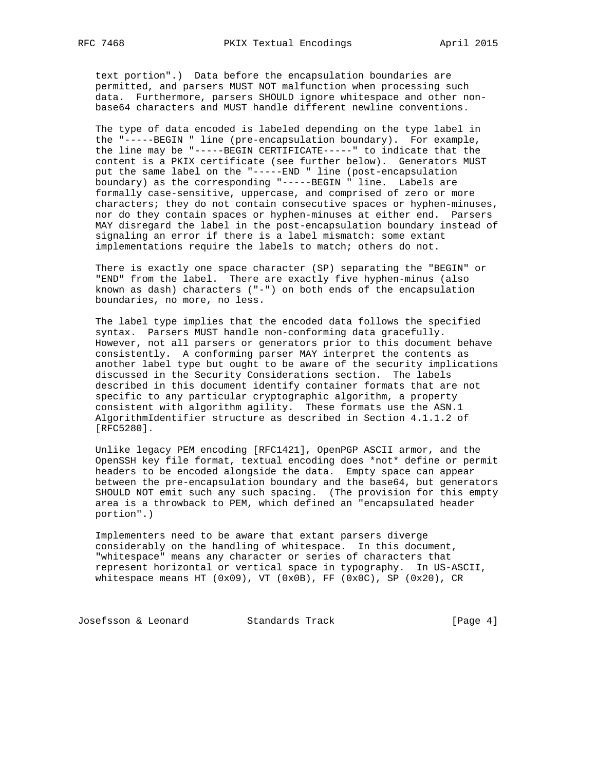text portion".) Data before the encapsulation boundaries are permitted, and parsers MUST NOT malfunction when processing such data. Furthermore, parsers SHOULD ignore whitespace and other non base64 characters and MUST handle different newline conventions.

 The type of data encoded is labeled depending on the type label in the "-----BEGIN " line (pre-encapsulation boundary). For example, the line may be "-----BEGIN CERTIFICATE-----" to indicate that the content is a PKIX certificate (see further below). Generators MUST put the same label on the "-----END " line (post-encapsulation boundary) as the corresponding "-----BEGIN " line. Labels are formally case-sensitive, uppercase, and comprised of zero or more characters; they do not contain consecutive spaces or hyphen-minuses, nor do they contain spaces or hyphen-minuses at either end. Parsers MAY disregard the label in the post-encapsulation boundary instead of signaling an error if there is a label mismatch: some extant implementations require the labels to match; others do not.

 There is exactly one space character (SP) separating the "BEGIN" or "END" from the label. There are exactly five hyphen-minus (also known as dash) characters ("-") on both ends of the encapsulation boundaries, no more, no less.

 The label type implies that the encoded data follows the specified syntax. Parsers MUST handle non-conforming data gracefully. However, not all parsers or generators prior to this document behave consistently. A conforming parser MAY interpret the contents as another label type but ought to be aware of the security implications discussed in the Security Considerations section. The labels described in this document identify container formats that are not specific to any particular cryptographic algorithm, a property consistent with algorithm agility. These formats use the ASN.1 AlgorithmIdentifier structure as described in Section 4.1.1.2 of [RFC5280].

 Unlike legacy PEM encoding [RFC1421], OpenPGP ASCII armor, and the OpenSSH key file format, textual encoding does \*not\* define or permit headers to be encoded alongside the data. Empty space can appear between the pre-encapsulation boundary and the base64, but generators SHOULD NOT emit such any such spacing. (The provision for this empty area is a throwback to PEM, which defined an "encapsulated header portion".)

 Implementers need to be aware that extant parsers diverge considerably on the handling of whitespace. In this document, "whitespace" means any character or series of characters that represent horizontal or vertical space in typography. In US-ASCII, whitespace means HT (0x09), VT (0x0B), FF (0x0C), SP (0x20), CR

Josefsson & Leonard Standards Track [Page 4]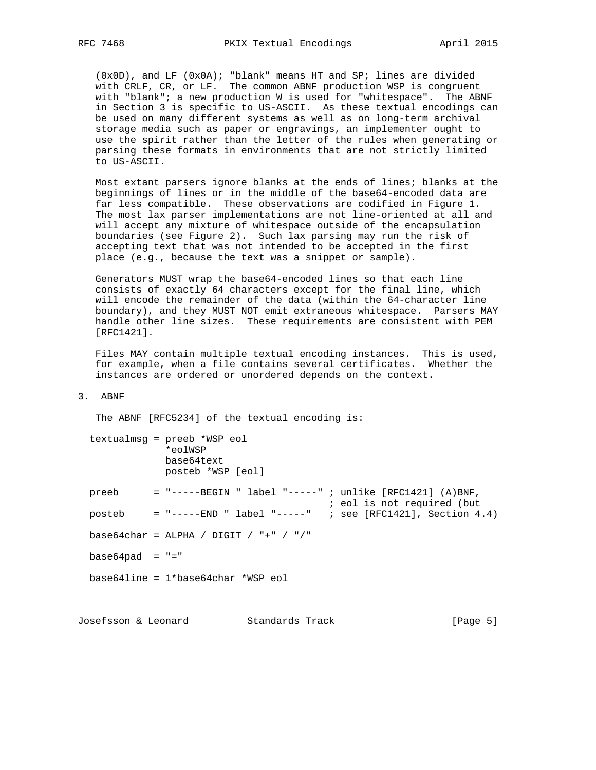(0x0D), and LF (0x0A); "blank" means HT and SP; lines are divided with CRLF, CR, or LF. The common ABNF production WSP is congruent with "blank"; a new production W is used for "whitespace". The ABNF in Section 3 is specific to US-ASCII. As these textual encodings can be used on many different systems as well as on long-term archival storage media such as paper or engravings, an implementer ought to use the spirit rather than the letter of the rules when generating or parsing these formats in environments that are not strictly limited to US-ASCII.

 Most extant parsers ignore blanks at the ends of lines; blanks at the beginnings of lines or in the middle of the base64-encoded data are far less compatible. These observations are codified in Figure 1. The most lax parser implementations are not line-oriented at all and will accept any mixture of whitespace outside of the encapsulation boundaries (see Figure 2). Such lax parsing may run the risk of accepting text that was not intended to be accepted in the first place (e.g., because the text was a snippet or sample).

 Generators MUST wrap the base64-encoded lines so that each line consists of exactly 64 characters except for the final line, which will encode the remainder of the data (within the 64-character line boundary), and they MUST NOT emit extraneous whitespace. Parsers MAY handle other line sizes. These requirements are consistent with PEM [RFC1421].

 Files MAY contain multiple textual encoding instances. This is used, for example, when a file contains several certificates. Whether the instances are ordered or unordered depends on the context.

# 3. ABNF

The ABNF [RFC5234] of the textual encoding is:

|                    | textualmsq = preeb *WSP eol<br>*eolWSP<br>base64text<br>posteb *WSP [eol]                |  |
|--------------------|------------------------------------------------------------------------------------------|--|
| preeb              | $=$ "-----BEGIN " label "-----" ; unlike [RFC1421] (A)BNF,<br>; eol is not required (but |  |
| posteb             | = "----- $END$ " label "-----" ; see [RFC1421], Section 4.4)                             |  |
|                    | base64char = ALPHA / DIGIT / "+" / "/"                                                   |  |
| base64pad = $"$ =" |                                                                                          |  |
|                    | $base64line = 1*base64char *WSP$ eol                                                     |  |
|                    |                                                                                          |  |

Josefsson & Leonard Standards Track [Page 5]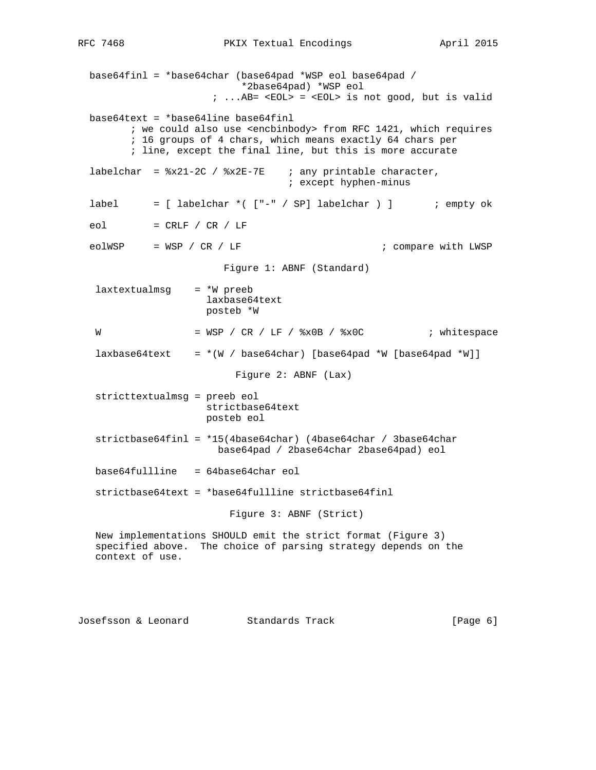base64finl = \*base64char (base64pad \*WSP eol base64pad / \*2base64pad) \*WSP eol  $i$  ... AB=  $\leq$ EOL> =  $\leq$ EOL> is not good, but is valid base64text = \*base64line base64finl ; we could also use <encbinbody> from RFC 1421, which requires ; 16 groups of 4 chars, which means exactly 64 chars per ; line, except the final line, but this is more accurate labelchar =  $x21-2C$  /  $x2E-7E$  ; any printable character, ; except hyphen-minus label = [ labelchar \*( ["-" / SP] labelchar ) ] ; empty ok  $e$ ol = CRLF / CR / LF eolWSP = WSP / CR / LF ; compare with LWSP Figure 1: ABNF (Standard)  $l$ axtextualmsg =  $*$ W preeb laxbase64text posteb \*W W = WSP / CR / LF / %x0B / %x0C ; whitespace  $laxbase64text = * (W / base64char)$  [base64pad \*W [base64pad \*W]] Figure 2: ABNF (Lax) stricttextualmsg = preeb eol strictbase64text posteb eol strictbase64finl = \*15(4base64char) (4base64char / 3base64char base64pad / 2base64char 2base64pad) eol base64fullline = 64base64char eol strictbase64text = \*base64fullline strictbase64finl Figure 3: ABNF (Strict) New implementations SHOULD emit the strict format (Figure 3) specified above. The choice of parsing strategy depends on the context of use.

Josefsson & Leonard Standards Track [Page 6]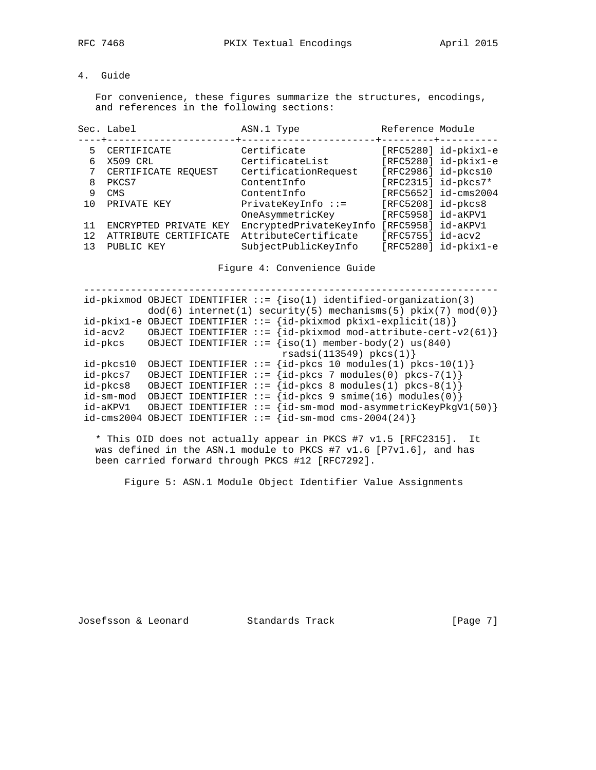# 4. Guide

 For convenience, these figures summarize the structures, encodings, and references in the following sections:

|    | Sec. Label<br>-+-----------------------+------- | ASN.1 Type<br>----------------+---------+---------- | Reference Module     |                          |
|----|-------------------------------------------------|-----------------------------------------------------|----------------------|--------------------------|
| 5  | CERTIFICATE                                     | Certificate                                         |                      | $[RFC5280]$ id-pkix1-e   |
| 6  | X509 CRL                                        | CertificateList                                     |                      | $[RFC5280]$ id-pkix1-e   |
| 7  | CERTIFICATE REQUEST                             | CertificationRequest                                |                      | $[RFC2986]$ id-p $kcs10$ |
| 8  | PKCS7                                           | ContentInfo                                         |                      | [RFC2315] $id$ -pkcs7*   |
| 9  | CMS                                             | ContentInfo                                         |                      | [RFC5652] id-cms2004     |
| 10 | PRIVATE KEY                                     | $PrivateKeyInfo :: =$                               | $[RFC5208]$ id-pkcs8 |                          |
|    |                                                 | OneAsymmetricKey                                    | [RFC5958] $id-akPVI$ |                          |
| 11 | ENCRYPTED PRIVATE KEY                           | EncryptedPrivateKeyInfo                             | [RFC5958] id-aKPV1   |                          |
| 12 | ATTRIBUTE CERTIFICATE                           | AttributeCertificate                                | [RFC5755] $id-acy2$  |                          |
| 13 | PUBLIC KEY                                      | SubjectPublicKeyInfo                                |                      | $[RFC5280]$ id-pkix1-e   |
|    |                                                 |                                                     |                      |                          |

Figure 4: Convenience Guide

 ----------------------------------------------------------------------  $id-pkixmod$  OBJECT IDENTIFIER  $::=$   ${iso(1)}$  identified-organization(3)  $dod(6)$  internet(1) security(5) mechanisms(5)  $pkix(7) mod(0)$  $id-pkix1-e$  OBJECT IDENTIFIER  $:= \{id-pkixmod \; pikix1-explicit(18)\}$ id-acv2 OBJECT IDENTIFIER  $:= \{id-pkixmod mod-attribute-cent-v2(61)\}$ id-pkcs OBJECT IDENTIFIER  $:=$   $\{iso(1)$  member-body(2) us(840) rsadsi(113549) pkcs(1)}  $id$ -pkcs10 OBJECT IDENTIFIER ::=  $id$ -pkcs 10 modules(1) pkcs-10(1) } id-pkcs7 OBJECT IDENTIFIER  $::= \{id$ -pkcs 7 modules(0) pkcs-7(1) $\}$ id-pkcs8 OBJECT IDENTIFIER  $::= {id-pkcs 8 modules(1) pkcs-8(1)}$  $id$ -sm-mod OBJECT IDENTIFIER ::=  $\{id$ -pkcs 9 smime(16) modules(0) $\}$  id-aKPV1 OBJECT IDENTIFIER ::= {id-sm-mod mod-asymmetricKeyPkgV1(50)}  $id-cms2004$  OBJECT IDENTIFIER  $::= \{id-sm-mod \text{cms}-2004(24)\}$ 

 \* This OID does not actually appear in PKCS #7 v1.5 [RFC2315]. It was defined in the ASN.1 module to PKCS #7 v1.6 [P7v1.6], and has been carried forward through PKCS #12 [RFC7292].

Figure 5: ASN.1 Module Object Identifier Value Assignments

Josefsson & Leonard Standards Track [Page 7]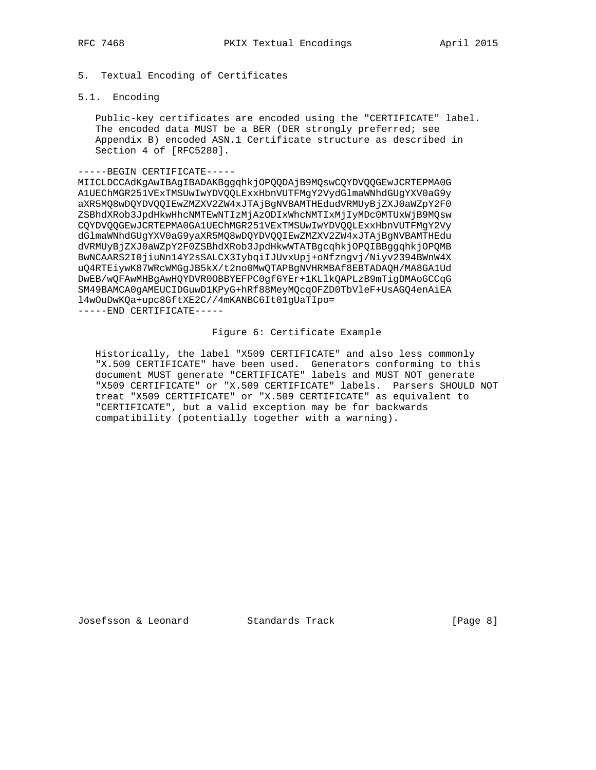5. Textual Encoding of Certificates

# 5.1. Encoding

 Public-key certificates are encoded using the "CERTIFICATE" label. The encoded data MUST be a BER (DER strongly preferred; see Appendix B) encoded ASN.1 Certificate structure as described in Section 4 of [RFC5280].

## -----BEGIN CERTIFICATE-----

MIICLDCCAdKgAwIBAgIBADAKBggqhkjOPQQDAjB9MQswCQYDVQQGEwJCRTEPMA0G A1UEChMGR251VExTMSUwIwYDVQQLExxHbnVUTFMgY2VydGlmaWNhdGUgYXV0aG9y aXR5MQ8wDQYDVQQIEwZMZXV2ZW4xJTAjBgNVBAMTHEdudVRMUyBjZXJ0aWZpY2F0 ZSBhdXRob3JpdHkwHhcNMTEwNTIzMjAzODIxWhcNMTIxMjIyMDc0MTUxWjB9MQsw CQYDVQQGEwJCRTEPMA0GA1UEChMGR251VExTMSUwIwYDVQQLExxHbnVUTFMgY2Vy dGlmaWNhdGUgYXV0aG9yaXR5MQ8wDQYDVQQIEwZMZXV2ZW4xJTAjBgNVBAMTHEdu dVRMUyBjZXJ0aWZpY2F0ZSBhdXRob3JpdHkwWTATBgcqhkjOPQIBBggqhkjOPQMB BwNCAARS2I0jiuNn14Y2sSALCX3IybqiIJUvxUpj+oNfzngvj/Niyv2394BWnW4X uQ4RTEiywK87WRcWMGgJB5kX/t2no0MwQTAPBgNVHRMBAf8EBTADAQH/MA8GA1Ud DwEB/wQFAwMHBgAwHQYDVR0OBBYEFPC0gf6YEr+1KLlkQAPLzB9mTigDMAoGCCqG SM49BAMCA0gAMEUCIDGuwD1KPyG+hRf88MeyMQcqOFZD0TbVleF+UsAGQ4enAiEA l4wOuDwKQa+upc8GftXE2C//4mKANBC6It01gUaTIpo= -----END CERTIFICATE-----

## Figure 6: Certificate Example

 Historically, the label "X509 CERTIFICATE" and also less commonly "X.509 CERTIFICATE" have been used. Generators conforming to this document MUST generate "CERTIFICATE" labels and MUST NOT generate "X509 CERTIFICATE" or "X.509 CERTIFICATE" labels. Parsers SHOULD NOT treat "X509 CERTIFICATE" or "X.509 CERTIFICATE" as equivalent to "CERTIFICATE", but a valid exception may be for backwards compatibility (potentially together with a warning).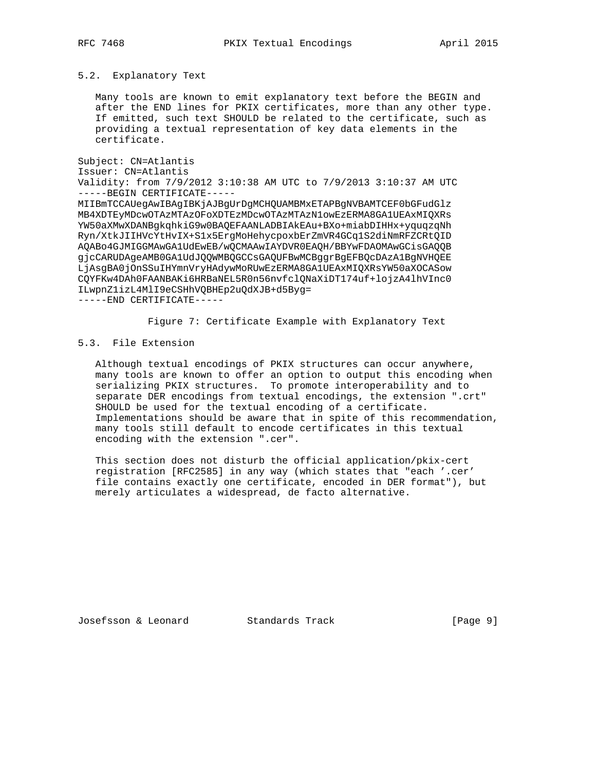5.2. Explanatory Text

 Many tools are known to emit explanatory text before the BEGIN and after the END lines for PKIX certificates, more than any other type. If emitted, such text SHOULD be related to the certificate, such as providing a textual representation of key data elements in the certificate.

```
Subject: CN=Atlantis
```

```
Issuer: CN=Atlantis
```
Validity: from 7/9/2012 3:10:38 AM UTC to 7/9/2013 3:10:37 AM UTC -----BEGIN CERTIFICATE-----

MIIBmTCCAUegAwIBAgIBKjAJBgUrDgMCHQUAMBMxETAPBgNVBAMTCEF0bGFudGlz MB4XDTEyMDcwOTAzMTAzOFoXDTEzMDcwOTAzMTAzN1owEzERMA8GA1UEAxMIQXRs YW50aXMwXDANBgkqhkiG9w0BAQEFAANLADBIAkEAu+BXo+miabDIHHx+yquqzqNh Ryn/XtkJIIHVcYtHvIX+S1x5ErgMoHehycpoxbErZmVR4GCq1S2diNmRFZCRtQID AQABo4GJMIGGMAwGA1UdEwEB/wQCMAAwIAYDVR0EAQH/BBYwFDAOMAwGCisGAQQB gjcCARUDAgeAMB0GA1UdJQQWMBQGCCsGAQUFBwMCBggrBgEFBQcDAzA1BgNVHQEE LjAsgBA0jOnSSuIHYmnVryHAdywMoRUwEzERMA8GA1UEAxMIQXRsYW50aXOCASow CQYFKw4DAh0FAANBAKi6HRBaNEL5R0n56nvfclQNaXiDT174uf+lojzA4lhVInc0 ILwpnZ1izL4MlI9eCSHhVQBHEp2uQdXJB+d5Byg=

-----END CERTIFICATE-----

Figure 7: Certificate Example with Explanatory Text

## 5.3. File Extension

 Although textual encodings of PKIX structures can occur anywhere, many tools are known to offer an option to output this encoding when serializing PKIX structures. To promote interoperability and to separate DER encodings from textual encodings, the extension ".crt" SHOULD be used for the textual encoding of a certificate. Implementations should be aware that in spite of this recommendation, many tools still default to encode certificates in this textual encoding with the extension ".cer".

 This section does not disturb the official application/pkix-cert registration [RFC2585] in any way (which states that "each '.cer' file contains exactly one certificate, encoded in DER format"), but merely articulates a widespread, de facto alternative.

Josefsson & Leonard Standards Track [Page 9]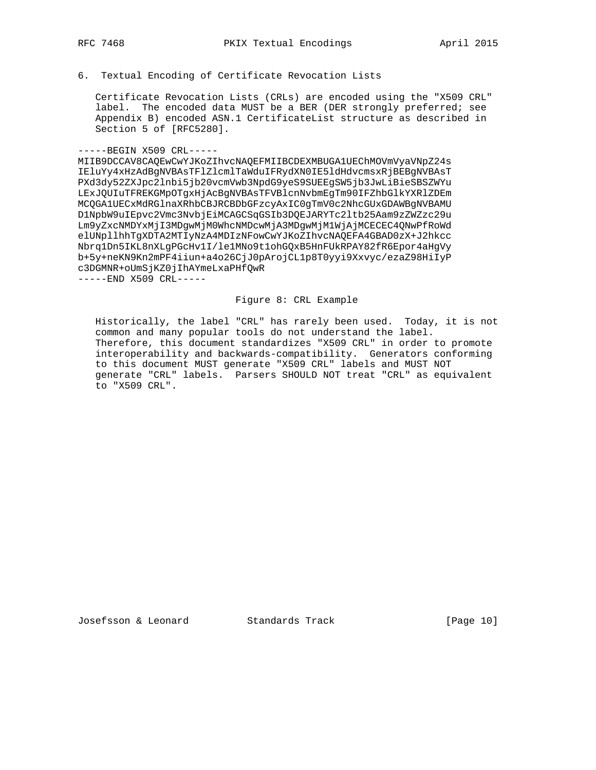6. Textual Encoding of Certificate Revocation Lists

 Certificate Revocation Lists (CRLs) are encoded using the "X509 CRL" label. The encoded data MUST be a BER (DER strongly preferred; see Appendix B) encoded ASN.1 CertificateList structure as described in Section 5 of [RFC5280].

#### -----BEGIN X509 CRL-----

MIIB9DCCAV8CAQEwCwYJKoZIhvcNAQEFMIIBCDEXMBUGA1UEChMOVmVyaVNpZ24s IEluYy4xHzAdBgNVBAsTFlZlcmlTaWduIFRydXN0IE5ldHdvcmsxRjBEBgNVBAsT PXd3dy52ZXJpc2lnbi5jb20vcmVwb3NpdG9yeS9SUEEgSW5jb3JwLiBieSBSZWYu LExJQUIuTFREKGMpOTgxHjAcBgNVBAsTFVBlcnNvbmEgTm90IFZhbGlkYXRlZDEm MCQGA1UECxMdRGlnaXRhbCBJRCBDbGFzcyAxIC0gTmV0c2NhcGUxGDAWBgNVBAMU D1NpbW9uIEpvc2Vmc3NvbjEiMCAGCSqGSIb3DQEJARYTc2ltb25Aam9zZWZzc29u Lm9yZxcNMDYxMjI3MDgwMjM0WhcNMDcwMjA3MDgwMjM1WjAjMCECEC4QNwPfRoWd elUNpllhhTgXDTA2MTIyNzA4MDIzNFowCwYJKoZIhvcNAQEFA4GBAD0zX+J2hkcc Nbrq1Dn5IKL8nXLgPGcHv1I/le1MNo9t1ohGQxB5HnFUkRPAY82fR6Epor4aHgVy b+5y+neKN9Kn2mPF4iiun+a4o26CjJ0pArojCL1p8T0yyi9Xxvyc/ezaZ98HiIyP c3DGMNR+oUmSjKZ0jIhAYmeLxaPHfQwR

-----END X509 CRL-----

### Figure 8: CRL Example

 Historically, the label "CRL" has rarely been used. Today, it is not common and many popular tools do not understand the label. Therefore, this document standardizes "X509 CRL" in order to promote interoperability and backwards-compatibility. Generators conforming to this document MUST generate "X509 CRL" labels and MUST NOT generate "CRL" labels. Parsers SHOULD NOT treat "CRL" as equivalent to "X509 CRL".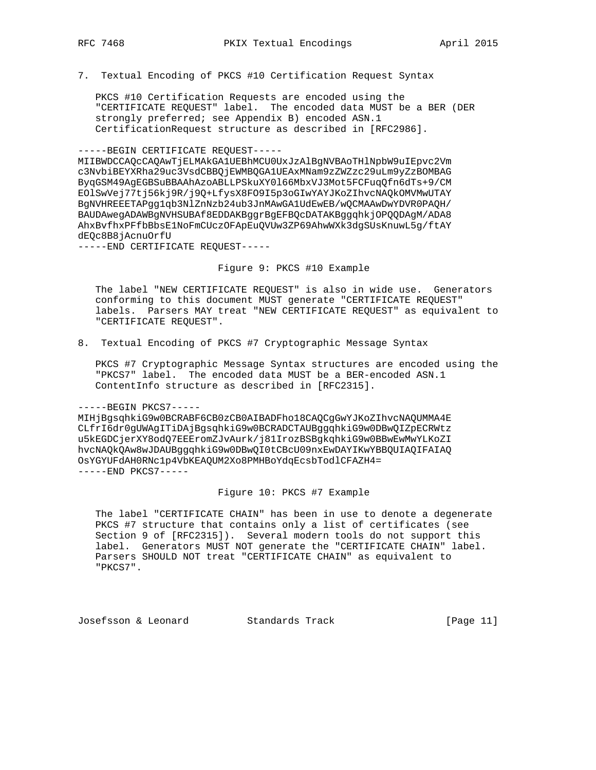7. Textual Encoding of PKCS #10 Certification Request Syntax

 PKCS #10 Certification Requests are encoded using the "CERTIFICATE REQUEST" label. The encoded data MUST be a BER (DER strongly preferred; see Appendix B) encoded ASN.1 CertificationRequest structure as described in [RFC2986].

-----BEGIN CERTIFICATE REQUEST-----

MIIBWDCCAQcCAQAwTjELMAkGA1UEBhMCU0UxJzAlBgNVBAoTHlNpbW9uIEpvc2Vm c3NvbiBEYXRha29uc3VsdCBBQjEWMBQGA1UEAxMNam9zZWZzc29uLm9yZzBOMBAG ByqGSM49AgEGBSuBBAAhAzoABLLPSkuXY0l66MbxVJ3Mot5FCFuqQfn6dTs+9/CM EOlSwVej77tj56kj9R/j9Q+LfysX8FO9I5p3oGIwYAYJKoZIhvcNAQkOMVMwUTAY BgNVHREEETAPgg1qb3NlZnNzb24ub3JnMAwGA1UdEwEB/wQCMAAwDwYDVR0PAQH/ BAUDAwegADAWBgNVHSUBAf8EDDAKBggrBgEFBQcDATAKBggqhkjOPQQDAgM/ADA8 AhxBvfhxPFfbBbsE1NoFmCUczOFApEuQVUw3ZP69AhwWXk3dgSUsKnuwL5g/ftAY dEQc8B8jAcnuOrfU

-----END CERTIFICATE REQUEST-----

Figure 9: PKCS #10 Example

 The label "NEW CERTIFICATE REQUEST" is also in wide use. Generators conforming to this document MUST generate "CERTIFICATE REQUEST" labels. Parsers MAY treat "NEW CERTIFICATE REQUEST" as equivalent to "CERTIFICATE REQUEST".

8. Textual Encoding of PKCS #7 Cryptographic Message Syntax

 PKCS #7 Cryptographic Message Syntax structures are encoded using the "PKCS7" label. The encoded data MUST be a BER-encoded ASN.1 ContentInfo structure as described in [RFC2315].

#### -----BEGIN PKCS7-----

MIHjBgsqhkiG9w0BCRABF6CB0zCB0AIBADFho18CAQCgGwYJKoZIhvcNAQUMMA4E CLfrI6dr0gUWAgITiDAjBgsqhkiG9w0BCRADCTAUBggqhkiG9w0DBwQIZpECRWtz u5kEGDCjerXY8odQ7EEEromZJvAurk/j81IrozBSBgkqhkiG9w0BBwEwMwYLKoZI hvcNAQkQAw8wJDAUBggqhkiG9w0DBwQI0tCBcU09nxEwDAYIKwYBBQUIAQIFAIAQ OsYGYUFdAH0RNc1p4VbKEAQUM2Xo8PMHBoYdqEcsbTodlCFAZH4= -----END PKCS7-----

## Figure 10: PKCS #7 Example

 The label "CERTIFICATE CHAIN" has been in use to denote a degenerate PKCS #7 structure that contains only a list of certificates (see Section 9 of [RFC2315]). Several modern tools do not support this label. Generators MUST NOT generate the "CERTIFICATE CHAIN" label. Parsers SHOULD NOT treat "CERTIFICATE CHAIN" as equivalent to "PKCS7".

Josefsson & Leonard Standards Track [Page 11]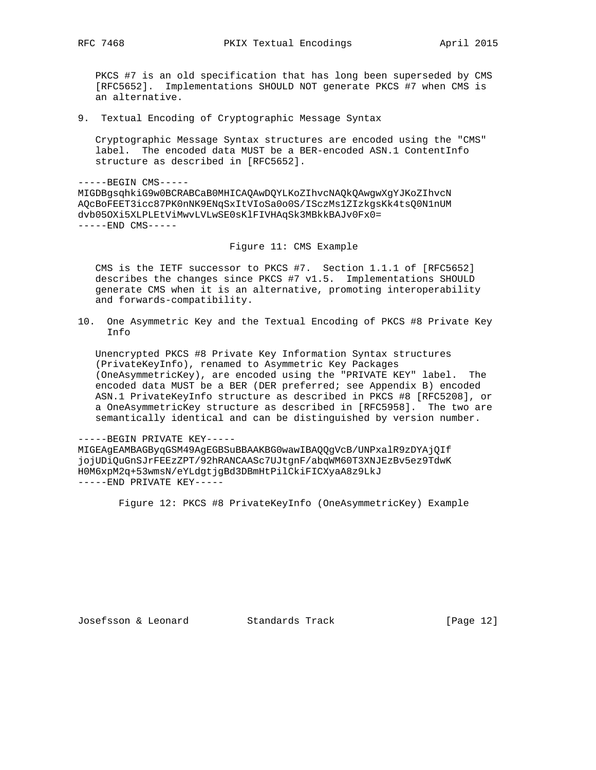PKCS #7 is an old specification that has long been superseded by CMS [RFC5652]. Implementations SHOULD NOT generate PKCS #7 when CMS is an alternative.

9. Textual Encoding of Cryptographic Message Syntax

 Cryptographic Message Syntax structures are encoded using the "CMS" label. The encoded data MUST be a BER-encoded ASN.1 ContentInfo structure as described in [RFC5652].

-----BEGIN CMS----- MIGDBgsqhkiG9w0BCRABCaB0MHICAQAwDQYLKoZIhvcNAQkQAwgwXgYJKoZIhvcN AQcBoFEET3icc87PK0nNK9ENqSxItVIoSa0o0S/ISczMs1ZIzkgsKk4tsQ0N1nUM dvb05OXi5XLPLEtViMwvLVLwSE0sKlFIVHAqSk3MBkkBAJv0Fx0= -----END CMS-----

Figure 11: CMS Example

 CMS is the IETF successor to PKCS #7. Section 1.1.1 of [RFC5652] describes the changes since PKCS #7 v1.5. Implementations SHOULD generate CMS when it is an alternative, promoting interoperability and forwards-compatibility.

10. One Asymmetric Key and the Textual Encoding of PKCS #8 Private Key Info

 Unencrypted PKCS #8 Private Key Information Syntax structures (PrivateKeyInfo), renamed to Asymmetric Key Packages (OneAsymmetricKey), are encoded using the "PRIVATE KEY" label. The encoded data MUST be a BER (DER preferred; see Appendix B) encoded ASN.1 PrivateKeyInfo structure as described in PKCS #8 [RFC5208], or a OneAsymmetricKey structure as described in [RFC5958]. The two are semantically identical and can be distinguished by version number.

-----BEGIN PRIVATE KEY-----

MIGEAgEAMBAGByqGSM49AgEGBSuBBAAKBG0wawIBAQQgVcB/UNPxalR9zDYAjQIf jojUDiQuGnSJrFEEzZPT/92hRANCAASc7UJtgnF/abqWM60T3XNJEzBv5ez9TdwK H0M6xpM2q+53wmsN/eYLdgtjgBd3DBmHtPilCkiFICXyaA8z9LkJ -----END PRIVATE KEY-----

Figure 12: PKCS #8 PrivateKeyInfo (OneAsymmetricKey) Example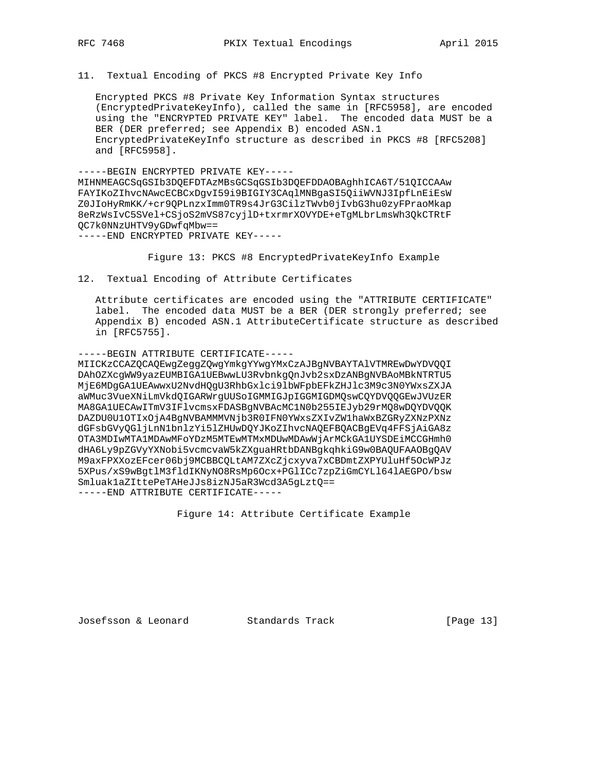11. Textual Encoding of PKCS #8 Encrypted Private Key Info

 Encrypted PKCS #8 Private Key Information Syntax structures (EncryptedPrivateKeyInfo), called the same in [RFC5958], are encoded using the "ENCRYPTED PRIVATE KEY" label. The encoded data MUST be a BER (DER preferred; see Appendix B) encoded ASN.1 EncryptedPrivateKeyInfo structure as described in PKCS #8 [RFC5208] and [RFC5958].

-----BEGIN ENCRYPTED PRIVATE KEY----- MIHNMEAGCSqGSIb3DQEFDTAzMBsGCSqGSIb3DQEFDDAOBAghhICA6T/51QICCAAw FAYIKoZIhvcNAwcECBCxDgvI59i9BIGIY3CAqlMNBgaSI5QiiWVNJ3IpfLnEiEsW Z0JIoHyRmKK/+cr9QPLnzxImm0TR9s4JrG3CilzTWvb0jIvbG3hu0zyFPraoMkap 8eRzWsIvC5SVel+CSjoS2mVS87cyjlD+txrmrXOVYDE+eTgMLbrLmsWh3QkCTRtF QC7k0NNzUHTV9yGDwfqMbw==

-----END ENCRYPTED PRIVATE KEY-----

Figure 13: PKCS #8 EncryptedPrivateKeyInfo Example

12. Textual Encoding of Attribute Certificates

 Attribute certificates are encoded using the "ATTRIBUTE CERTIFICATE" label. The encoded data MUST be a BER (DER strongly preferred; see Appendix B) encoded ASN.1 AttributeCertificate structure as described in [RFC5755].

-----BEGIN ATTRIBUTE CERTIFICATE-----

MIICKzCCAZQCAQEwgZeggZQwgYmkgYYwgYMxCzAJBgNVBAYTAlVTMREwDwYDVQQI DAhOZXcgWW9yazEUMBIGA1UEBwwLU3RvbnkgQnJvb2sxDzANBgNVBAoMBkNTRTU5 MjE6MDgGA1UEAwwxU2NvdHQgU3RhbGxlci9lbWFpbEFkZHJlc3M9c3N0YWxsZXJA aWMuc3VueXNiLmVkdQIGARWrgUUSoIGMMIGJpIGGMIGDMQswCQYDVQQGEwJVUzER MA8GA1UECAwITmV3IFlvcmsxFDASBgNVBAcMC1N0b255IEJyb29rMQ8wDQYDVQQK DAZDU0U1OTIxOjA4BgNVBAMMMVNjb3R0IFN0YWxsZXIvZW1haWxBZGRyZXNzPXNz dGFsbGVyQGljLnN1bnlzYi5lZHUwDQYJKoZIhvcNAQEFBQACBgEVq4FFSjAiGA8z OTA3MDIwMTA1MDAwMFoYDzM5MTEwMTMxMDUwMDAwWjArMCkGA1UYSDEiMCCGHmh0 dHA6Ly9pZGVyYXNobi5vcmcvaW5kZXguaHRtbDANBgkqhkiG9w0BAQUFAAOBgQAV M9axFPXXozEFcer06bj9MCBBCQLtAM7ZXcZjcxyva7xCBDmtZXPYUluHf5OcWPJz 5XPus/xS9wBgtlM3fldIKNyNO8RsMp6Ocx+PGlICc7zpZiGmCYLl64lAEGPO/bsw Smluak1aZIttePeTAHeJJs8izNJ5aR3Wcd3A5gLztQ== -----END ATTRIBUTE CERTIFICATE-----

Figure 14: Attribute Certificate Example

Josefsson & Leonard Standards Track [Page 13]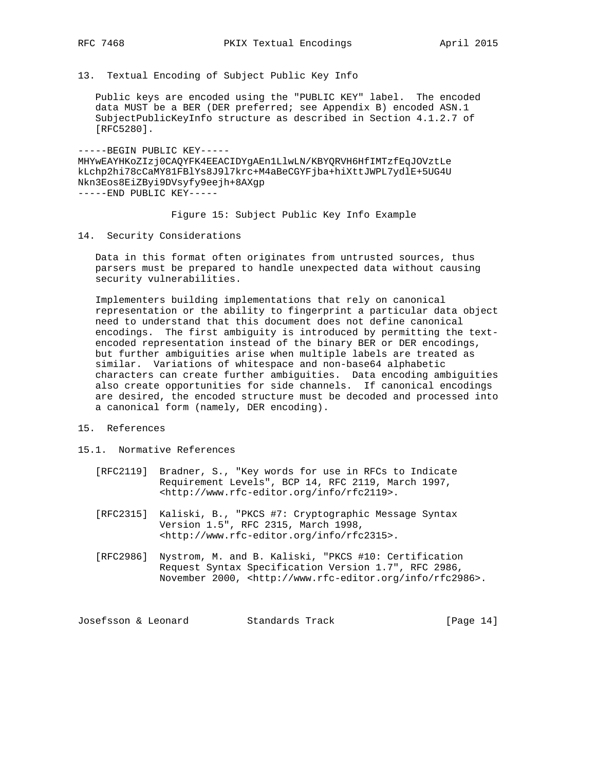- 
- 13. Textual Encoding of Subject Public Key Info

 Public keys are encoded using the "PUBLIC KEY" label. The encoded data MUST be a BER (DER preferred; see Appendix B) encoded ASN.1 SubjectPublicKeyInfo structure as described in Section 4.1.2.7 of [RFC5280].

-----BEGIN PUBLIC KEY----- MHYwEAYHKoZIzj0CAQYFK4EEACIDYgAEn1LlwLN/KBYQRVH6HfIMTzfEqJOVztLe kLchp2hi78cCaMY81FBlYs8J9l7krc+M4aBeCGYFjba+hiXttJWPL7ydlE+5UG4U Nkn3Eos8EiZByi9DVsyfy9eejh+8AXgp -----END PUBLIC KEY-----

Figure 15: Subject Public Key Info Example

14. Security Considerations

 Data in this format often originates from untrusted sources, thus parsers must be prepared to handle unexpected data without causing security vulnerabilities.

 Implementers building implementations that rely on canonical representation or the ability to fingerprint a particular data object need to understand that this document does not define canonical encodings. The first ambiguity is introduced by permitting the text encoded representation instead of the binary BER or DER encodings, but further ambiguities arise when multiple labels are treated as similar. Variations of whitespace and non-base64 alphabetic characters can create further ambiguities. Data encoding ambiguities also create opportunities for side channels. If canonical encodings are desired, the encoded structure must be decoded and processed into a canonical form (namely, DER encoding).

- 15. References
- 15.1. Normative References
	- [RFC2119] Bradner, S., "Key words for use in RFCs to Indicate Requirement Levels", BCP 14, RFC 2119, March 1997, <http://www.rfc-editor.org/info/rfc2119>.
	- [RFC2315] Kaliski, B., "PKCS #7: Cryptographic Message Syntax Version 1.5", RFC 2315, March 1998, <http://www.rfc-editor.org/info/rfc2315>.
	- [RFC2986] Nystrom, M. and B. Kaliski, "PKCS #10: Certification Request Syntax Specification Version 1.7", RFC 2986, November 2000, <http://www.rfc-editor.org/info/rfc2986>.

Josefsson & Leonard Standards Track [Page 14]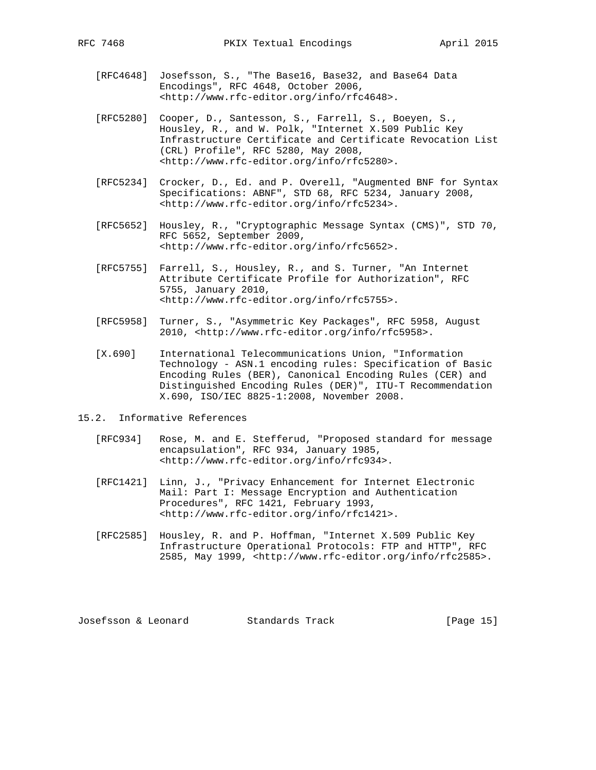- [RFC4648] Josefsson, S., "The Base16, Base32, and Base64 Data Encodings", RFC 4648, October 2006, <http://www.rfc-editor.org/info/rfc4648>.
- [RFC5280] Cooper, D., Santesson, S., Farrell, S., Boeyen, S., Housley, R., and W. Polk, "Internet X.509 Public Key Infrastructure Certificate and Certificate Revocation List (CRL) Profile", RFC 5280, May 2008, <http://www.rfc-editor.org/info/rfc5280>.
	- [RFC5234] Crocker, D., Ed. and P. Overell, "Augmented BNF for Syntax Specifications: ABNF", STD 68, RFC 5234, January 2008, <http://www.rfc-editor.org/info/rfc5234>.
	- [RFC5652] Housley, R., "Cryptographic Message Syntax (CMS)", STD 70, RFC 5652, September 2009, <http://www.rfc-editor.org/info/rfc5652>.
	- [RFC5755] Farrell, S., Housley, R., and S. Turner, "An Internet Attribute Certificate Profile for Authorization", RFC 5755, January 2010, <http://www.rfc-editor.org/info/rfc5755>.
	- [RFC5958] Turner, S., "Asymmetric Key Packages", RFC 5958, August 2010, <http://www.rfc-editor.org/info/rfc5958>.
	- [X.690] International Telecommunications Union, "Information Technology - ASN.1 encoding rules: Specification of Basic Encoding Rules (BER), Canonical Encoding Rules (CER) and Distinguished Encoding Rules (DER)", ITU-T Recommendation X.690, ISO/IEC 8825-1:2008, November 2008.
- 15.2. Informative References
	- [RFC934] Rose, M. and E. Stefferud, "Proposed standard for message encapsulation", RFC 934, January 1985, <http://www.rfc-editor.org/info/rfc934>.
	- [RFC1421] Linn, J., "Privacy Enhancement for Internet Electronic Mail: Part I: Message Encryption and Authentication Procedures", RFC 1421, February 1993, <http://www.rfc-editor.org/info/rfc1421>.
	- [RFC2585] Housley, R. and P. Hoffman, "Internet X.509 Public Key Infrastructure Operational Protocols: FTP and HTTP", RFC 2585, May 1999, <http://www.rfc-editor.org/info/rfc2585>.

Josefsson & Leonard Standards Track [Page 15]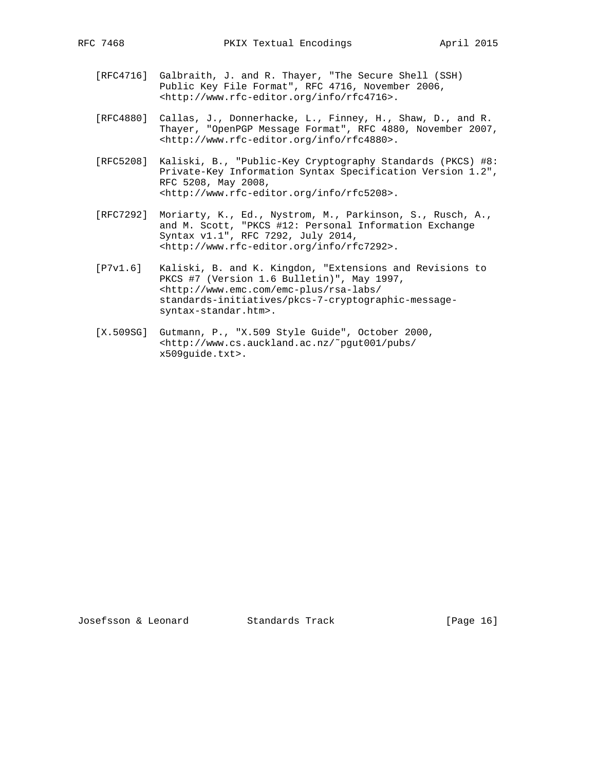- [RFC4716] Galbraith, J. and R. Thayer, "The Secure Shell (SSH) Public Key File Format", RFC 4716, November 2006, <http://www.rfc-editor.org/info/rfc4716>.
- [RFC4880] Callas, J., Donnerhacke, L., Finney, H., Shaw, D., and R. Thayer, "OpenPGP Message Format", RFC 4880, November 2007, <http://www.rfc-editor.org/info/rfc4880>.
- [RFC5208] Kaliski, B., "Public-Key Cryptography Standards (PKCS) #8: Private-Key Information Syntax Specification Version 1.2", RFC 5208, May 2008, <http://www.rfc-editor.org/info/rfc5208>.
- [RFC7292] Moriarty, K., Ed., Nystrom, M., Parkinson, S., Rusch, A., and M. Scott, "PKCS #12: Personal Information Exchange Syntax v1.1", RFC 7292, July 2014, <http://www.rfc-editor.org/info/rfc7292>.
- [P7v1.6] Kaliski, B. and K. Kingdon, "Extensions and Revisions to PKCS #7 (Version 1.6 Bulletin)", May 1997, <http://www.emc.com/emc-plus/rsa-labs/ standards-initiatives/pkcs-7-cryptographic-message syntax-standar.htm>.
- [X.509SG] Gutmann, P., "X.509 Style Guide", October 2000, <http://www.cs.auckland.ac.nz/˜pgut001/pubs/ x509guide.txt>.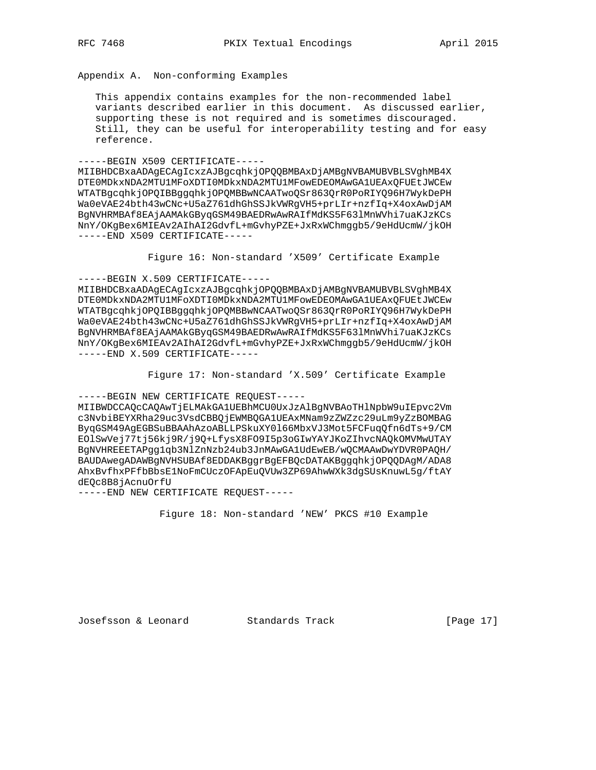Appendix A. Non-conforming Examples

 This appendix contains examples for the non-recommended label variants described earlier in this document. As discussed earlier, supporting these is not required and is sometimes discouraged. Still, they can be useful for interoperability testing and for easy reference.

-----BEGIN X509 CERTIFICATE-----

MIIBHDCBxaADAgECAgIcxzAJBgcqhkjOPQQBMBAxDjAMBgNVBAMUBVBLSVghMB4X DTE0MDkxNDA2MTU1MFoXDTI0MDkxNDA2MTU1MFowEDEOMAwGA1UEAxQFUEtJWCEw WTATBgcqhkjOPQIBBggqhkjOPQMBBwNCAATwoQSr863QrR0PoRIYQ96H7WykDePH Wa0eVAE24bth43wCNc+U5aZ761dhGhSSJkVWRgVH5+prLIr+nzfIq+X4oxAwDjAM BgNVHRMBAf8EAjAAMAkGByqGSM49BAEDRwAwRAIfMdKS5F63lMnWVhi7uaKJzKCs NnY/OKgBex6MIEAv2AIhAI2GdvfL+mGvhyPZE+JxRxWChmggb5/9eHdUcmW/jkOH -----END X509 CERTIFICATE-----

Figure 16: Non-standard 'X509' Certificate Example

-----BEGIN X.509 CERTIFICATE-----

MIIBHDCBxaADAgECAgIcxzAJBgcqhkjOPQQBMBAxDjAMBgNVBAMUBVBLSVghMB4X DTE0MDkxNDA2MTU1MFoXDTI0MDkxNDA2MTU1MFowEDEOMAwGA1UEAxQFUEtJWCEw WTATBgcqhkjOPQIBBggqhkjOPQMBBwNCAATwoQSr863QrR0PoRIYQ96H7WykDePH Wa0eVAE24bth43wCNc+U5aZ761dhGhSSJkVWRgVH5+prLIr+nzfIq+X4oxAwDjAM BgNVHRMBAf8EAjAAMAkGByqGSM49BAEDRwAwRAIfMdKS5F63lMnWVhi7uaKJzKCs NnY/OKgBex6MIEAv2AIhAI2GdvfL+mGvhyPZE+JxRxWChmggb5/9eHdUcmW/jkOH -----END X.509 CERTIFICATE-----

Figure 17: Non-standard 'X.509' Certificate Example

-----BEGIN NEW CERTIFICATE REQUEST-----

MIIBWDCCAQcCAQAwTjELMAkGA1UEBhMCU0UxJzAlBgNVBAoTHlNpbW9uIEpvc2Vm c3NvbiBEYXRha29uc3VsdCBBQjEWMBQGA1UEAxMNam9zZWZzc29uLm9yZzBOMBAG ByqGSM49AgEGBSuBBAAhAzoABLLPSkuXY0l66MbxVJ3Mot5FCFuqQfn6dTs+9/CM EOlSwVej77tj56kj9R/j9Q+LfysX8FO9I5p3oGIwYAYJKoZIhvcNAQkOMVMwUTAY BgNVHREEETAPgg1qb3NlZnNzb24ub3JnMAwGA1UdEwEB/wQCMAAwDwYDVR0PAQH/ BAUDAwegADAWBgNVHSUBAf8EDDAKBggrBgEFBQcDATAKBggqhkjOPQQDAgM/ADA8 AhxBvfhxPFfbBbsE1NoFmCUczOFApEuQVUw3ZP69AhwWXk3dgSUsKnuwL5g/ftAY dEQc8B8jAcnuOrfU

-----END NEW CERTIFICATE REQUEST-----

Figure 18: Non-standard 'NEW' PKCS #10 Example

Josefsson & Leonard Standards Track [Page 17]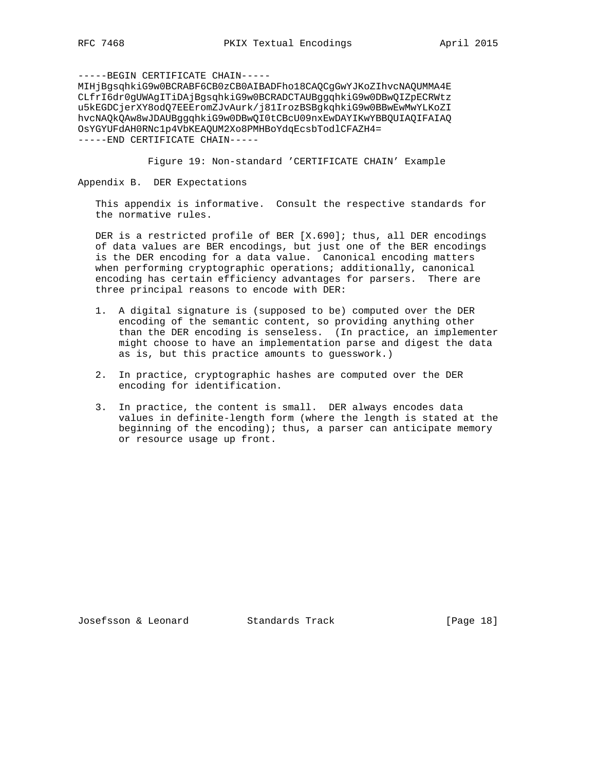-----BEGIN CERTIFICATE CHAIN----- MIHjBgsqhkiG9w0BCRABF6CB0zCB0AIBADFho18CAQCgGwYJKoZIhvcNAQUMMA4E CLfrI6dr0gUWAgITiDAjBgsqhkiG9w0BCRADCTAUBggqhkiG9w0DBwQIZpECRWtz u5kEGDCjerXY8odQ7EEEromZJvAurk/j81IrozBSBgkqhkiG9w0BBwEwMwYLKoZI hvcNAQkQAw8wJDAUBggqhkiG9w0DBwQI0tCBcU09nxEwDAYIKwYBBQUIAQIFAIAQ OsYGYUFdAH0RNc1p4VbKEAQUM2Xo8PMHBoYdqEcsbTodlCFAZH4= -----END CERTIFICATE CHAIN-----

Figure 19: Non-standard 'CERTIFICATE CHAIN' Example

Appendix B. DER Expectations

 This appendix is informative. Consult the respective standards for the normative rules.

DER is a restricted profile of BER [X.690]; thus, all DER encodings of data values are BER encodings, but just one of the BER encodings is the DER encoding for a data value. Canonical encoding matters when performing cryptographic operations; additionally, canonical encoding has certain efficiency advantages for parsers. There are three principal reasons to encode with DER:

- 1. A digital signature is (supposed to be) computed over the DER encoding of the semantic content, so providing anything other than the DER encoding is senseless. (In practice, an implementer might choose to have an implementation parse and digest the data as is, but this practice amounts to guesswork.)
- 2. In practice, cryptographic hashes are computed over the DER encoding for identification.
- 3. In practice, the content is small. DER always encodes data values in definite-length form (where the length is stated at the beginning of the encoding); thus, a parser can anticipate memory or resource usage up front.

Josefsson & Leonard Standards Track [Page 18]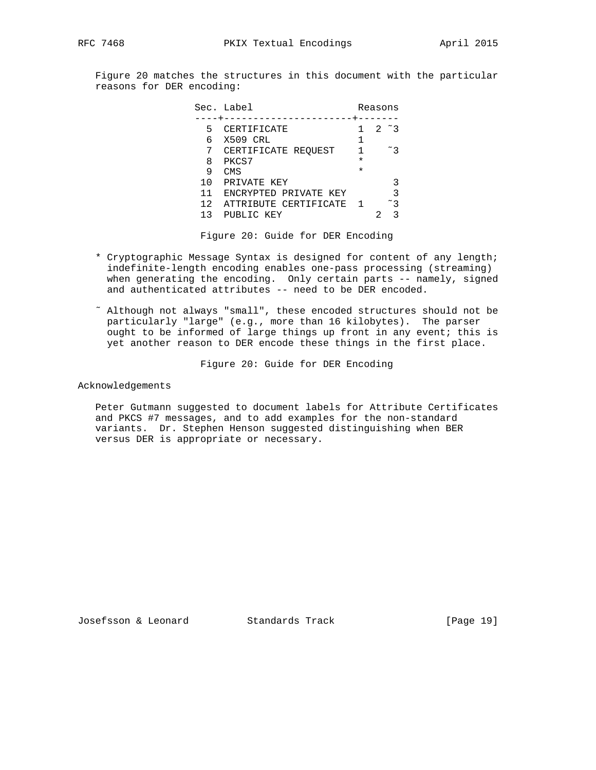Figure 20 matches the structures in this document with the particular reasons for DER encoding:

|    | Sec. Label              |         | Reasons       |
|----|-------------------------|---------|---------------|
|    |                         |         |               |
| 5  | CERTIFICATE             |         | $2 \degree 3$ |
| 6  | X509 CRL                |         |               |
|    | CERTIFICATE REOUEST     |         | $~\tilde{}$ 3 |
| 8  | PKCS7                   | $\star$ |               |
| 9  | CMS                     | $\star$ |               |
| 10 | PRIVATE KEY             |         | 3             |
| 11 | ENCRYPTED PRIVATE KEY   |         | 3             |
| 12 | ATTRIBUTE CERTIFICATE 1 |         | $~^\sim$ 3    |
| 13 | PUBLIC KEY              |         | २             |

Figure 20: Guide for DER Encoding

- \* Cryptographic Message Syntax is designed for content of any length; indefinite-length encoding enables one-pass processing (streaming) when generating the encoding. Only certain parts -- namely, signed and authenticated attributes -- need to be DER encoded.
- ˜ Although not always "small", these encoded structures should not be particularly "large" (e.g., more than 16 kilobytes). The parser ought to be informed of large things up front in any event; this is yet another reason to DER encode these things in the first place.

Figure 20: Guide for DER Encoding

Acknowledgements

 Peter Gutmann suggested to document labels for Attribute Certificates and PKCS #7 messages, and to add examples for the non-standard variants. Dr. Stephen Henson suggested distinguishing when BER versus DER is appropriate or necessary.

Josefsson & Leonard Standards Track [Page 19]